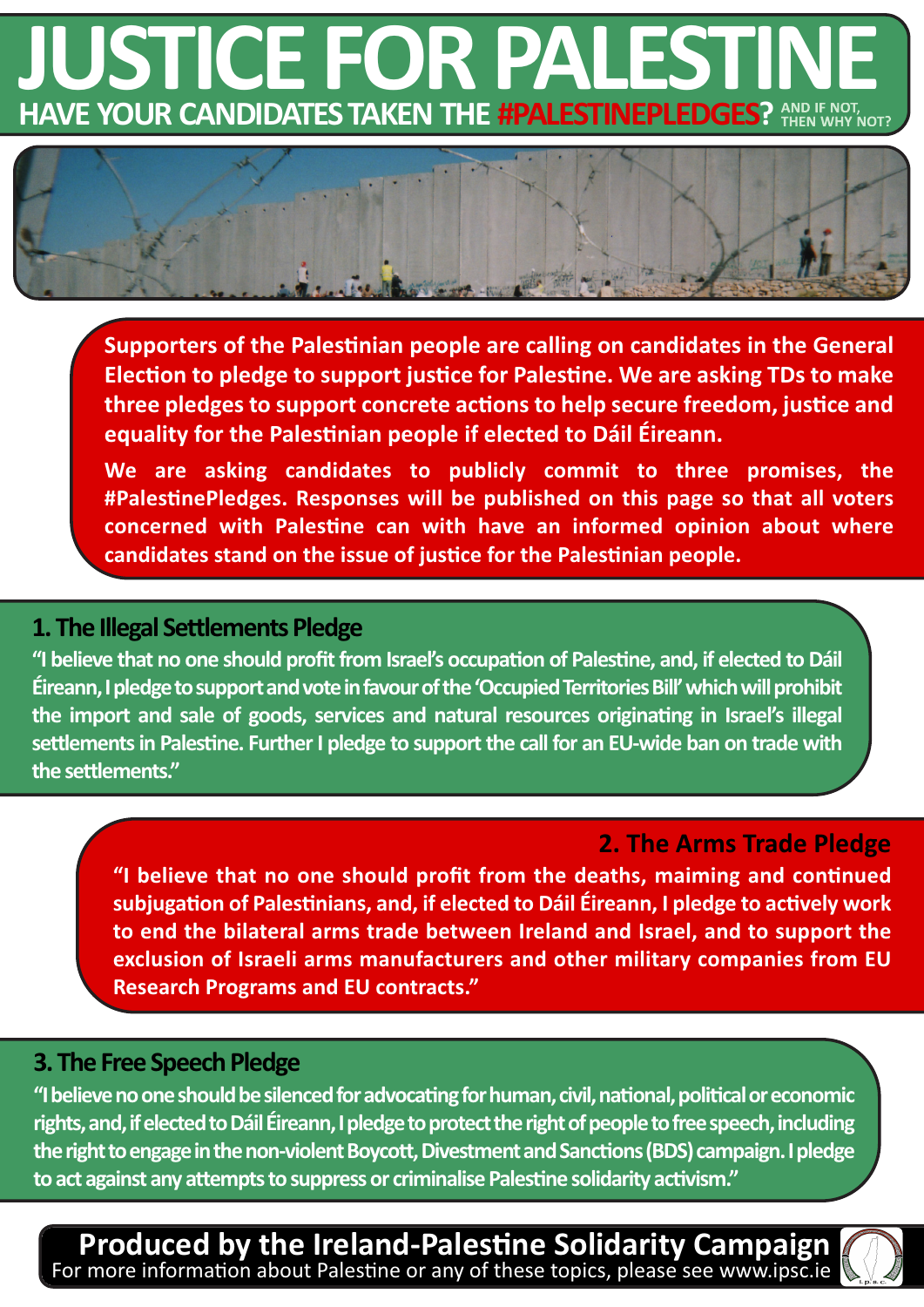# **HAVE YOUR CANDIDATES TAKEN THE #PALESTINEPLEDGES? JUSTICE FOR PALESTIN**



**Supporters of the Palestinian people are calling on candidates in the General Election to pledge to support justice for Palestine. We are asking TDs to make three pledges to support concrete actions to help secure freedom, justice and equality for the Palestinian people if elected to Dáil Éireann.**

**We are asking candidates to publicly commit to three promises, the #PalestinePledges. Responses will be published on this page so that all voters concerned with Palestine can with have an informed opinion about where candidates stand on the issue of justice for the Palestinian people.**

## **1. The Illegal Settlements Pledge**

**"I believe that no one should profitfrom Israel's occupation of Palestine, and, if elected to Dáil Éireann,Ipledgetosupportandvoteinfavourofthe'OccupiedTerritoriesBill'whichwillprohibit the import and sale of goods, services and natural resources originating in Israel's illegal settlementsin Palestine. FurtherI pledge to supportthe call for an EU-wide ban on trade with the settlements."**

## **2. The Arms Trade Pledge**

**"I believe that no one should profit from the deaths, maiming and continued subjugation of Palestinians, and, if elected to Dáil Éireann, I pledge to actively work to end the bilateral arms trade between Ireland and Israel, and to support the exclusion of Israeli arms manufacturers and other military companies from EU Research Programs and EU contracts."**

## **3. The Free Speech Pledge**

**"Ibelievenooneshouldbesilencedforadvocatingforhuman,civil,national,politicaloreconomic** rights, and, if elected to Dáil Éireann, I pledge to protect the right of people to free speech, including the right to engage in the non-violent Boycott. Divestment and Sanctions (BDS) campaign. I pledge **toact against any attemptstosuppressor criminalisePalestine solidarity activism."**